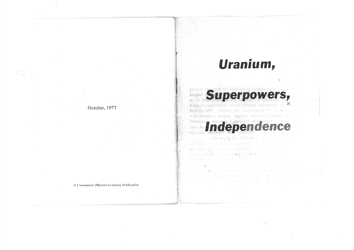# Uranium,

erpowers,

primit beleard in mel-news sidence an all in -

a simuso gailering by no the set enormous

absolution plant in all this

Independ

hopina self estretunide internece, le d m - E monum imma Agarus all' m la hiver a

**SHIPAL** mo le

October, 1977

A Communist (Marxist-Leninist) Publication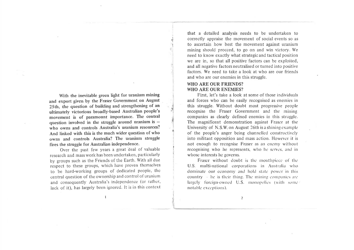With the inevitable green light for uranium mining and export given by the Fraser Government on August 25th, the question of building and strengthening of an ultimately victorious broadly-based Australian people's movement is of paramount importance. The central question involved in the struggle around uranium is  $$ who owns and controls Australia's uranium resources? And linked with this is the much wider question of who owns and controls Australia? The uranium struggle fires the struggle for Australian independence.

Over the past few years a great deal of valuable research and mass work has been undertaken, particularly by groups such as the Friends of the Earth. With all due respect to these groups, which have proven themselves to be hard-working groups of dedicated people, the central question of the ownership and control of uranium and consequently Australia's independence (or rather, lack of it), has largely been ignored. It is in this context

that a detailed analysis needs to be undertaken to correctly appraise the movement of social events so as to ascertain how best the movement against uranium mining should proceed, to go on and win victory. We need to know exactly what strategic and tactical position we are in, so that all positive factors can be exploited. and all negative factors neutralised or turned into positive factors. We need to take a look at who are our friends and who are our enemies in this struggle.

## **WHO ARE OUR FRIENDS? WHO ARE OUR ENEMIES?**

First, let's take a look at some of those individuals and forces who can be easily recognised as enemies in this struggle. Without doubt most progressive people recognise the Fraser Government and the mining companies as clearly defined enemies in this struggle. The magnificent demonstration against Fraser at the University of N.S.W. on August 26th is a shining example of the people's anger being channelled constructively into militant opposition and mass action. However it is not enough to recognise Fraser as an enemy without recognising who he represents, who he serves, and in whose interests he governs.

Fraser without doubt is the mouthpiece of the U.S. multi-national corporations in Australia who dominate our economy and hold state power in this country  $\rightarrow$  he is their thing. The mining companies are largely foreign-owned U.S. monopolies (with some notable exceptions).

 $\mathbf{I}$ 

 $\overline{2}$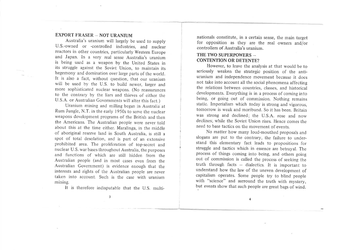## EXPORT FRASER - NOT URANIUM

Australia's uranium will largely be used to supply U.S.-owned or -controlled industries, and nuclear reactors in other countries, particularly Western Europe and Japan. In a very real sense Australia's uranium is being used as a weapon by the United States in its struggle against the Soviet Union, to maintain its hegemony and domination over large parts of the world. It is also a fact, without question, that our uranium will be used by the U.S. to build newer, larger and more sophisticated nuclear weapons. (No reassurances to the contrary by the liars and thieves of either the U.S.A. or Australian Governments will alter this fact.)

Uranium mining and milling began in Australia at Rum Jungle, N.T. in the early 1950s to serve the nuclear weapons development programs of the British and then the Americans. The Australian people were never told about this at the time either. Maralinga, in the middle of aboriginal reserve land in South Australia, is still a spot of total desolation, and is part of an extensive prohibited area. The proliferation of top-secret and nuclear U. S. war bases throughout Australia, the purposes and functions of which are still hidden from the Australian people (and in most cases even from the Australian Government) is evidence enough that the interests and rights of the Australian people are never taken into account. Such is the case with uranium mining.

It is therefore indisputable that the U.S. multi-

nationals constitute, in a certain sense, the main target for opposition as they are the real owners and/or controllers of Australia's uranium.

## THE TWO SUPERPOWERS -CONTENTION OR DETENTE?

However, to leave the analysis at that would be to seriously weaken the strategic position of the antiuranium and independence movement because it does not take into account all the social phenomena affecting the relations between countries, classes, and historical developments. Everything is in a process of coming into being, or going out of commission. Nothing remains static. Imperialism which today is strong and vigorous, tomorrow is weak and moribund. So it has been. Britain was strong and declined; the U.S.A. rose and now declines: while the Soviet Union rises. Hence comes the need to base tactics on the movement of events.

No matter how many loud-mouthed proposals and slogans are put to the contrary, the failure to understand this elementary fact leads to propositions for struggle and tactics which in essence are betrayal. The process of things coming into being, and others going out of commission is called the process of seeking the truth through facts  $-$  dialectics. It is important to understand how the law of the uneven development of capitalism operates. Some people try to blind people with "science" and surround the truth with mystery, but events show that such people are great bags of wind.

4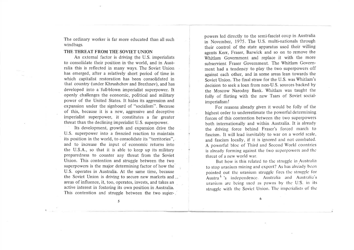The ordinary worker is far more educated than all such windbags.

#### THE THREAT FROM THE SOVIET UNION

An external factor is driving the U.S. imperialists to consolidate their position in'the world, and in Australia this is reflected in many ways. The Soviet Union has emerged, after a relatively short period of time in which capitalist restoration has been consolidated in that country (under Khrushchov and Brezhnev), and has developed into a'full-blown imperialist superpower. It openly challenges the economic, political and military power of the United States. It hides its aggression and expansion under the signboard of "socialism". Because of this, because it is a new, aggressive and deceptive imperialist superpower, it constitutes a far greater threat than the declining imperialist U.S. superpower.

Its development, growth and expansion drive the U.S. superpower into a frenzied reaction to maintain its position in the world, to consolidate its "territories", and to increase the input of economic returns into the U.S.A., so that it is able to keep up its military preparedness to counter any threat from the Soviet Union. This contention and struggle between the two superpowers is the major determining factor of how the U.S. operates in Australia. At the same time, because the Soviet Union is driving to secure new markets and areas of influence, it, too, operates, invests, and takes an active interest in fostering its own position in Australia. This contention and struggle between the two superpowers led directly to the semi-fascist coup in Australia in November, 1975. The U.S. multi-nationals through their control of the state apparatus used their willing agents Kerr, Fraser, Barwick and so on to remove the Whitlam Government and replace it with the more subservient Fraser Government. The Whitlam Government had a tendency to play the two superpowers off against each other, and in some areas lean towards the Soviet Union. The final straw for the U.S. was Whitlam's decision to seek a loan from non-U.S. sources backed by the Moscow Narodny Bank. Whitlam was taught the folly of flirting with the new Tsars of Soviet socialimperialism!

For reasons already given it would be folly of the highest order to underestimate the powerful determining forces of this contention between the two superpowers both internationally and within Australia. It is already the driving force behind Fraser's forced march to fascism. It will lead inevitably to war on a world scale, and fascism locally, if it is ignored and not combated. A powerful bloc of Third and Second World countries is already forming against the two superpowers and the threat of a new world war.

But how is this related to the struggle in Australia to stop uranium mining and export? As has already been pointed out the uranium struggle fires the struggle for Austra.  $\frac{L}{s}$  independence. Australia and Australia's uranium arc being used as pawns by the U.S. in its struggle with the Soviet Union. The imperialists of the

5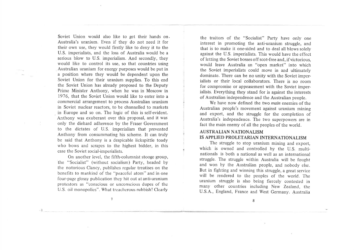Soviet Union would also like to get their hands on. Australia's uranium. Even if they do not need it for their own use, they would firstly like to deny it to the U.S. imperialists, and the loss of Australia would be <sup>a</sup> serious blow to U.S. imperialism. And secondly, they would like to control its use, so that countries using Australian uranium for energy purposes would be put in a position where they would be dependent upon the Soviet Union for their uranium supplies. To this end the Soviet Union has already proposed to the Deputy Prime Minister Anthony, when he was in Moscow in 1976, that the Soviet Union would like to enter into a commercial arrangement to process Australian uranium in Soviet nuclear reactors, to be channelled to markets \_ in Europe and so on. The logic of this is self-evident. Anthony was exuberant over this proposal, and it was only the diehard adherence by the Fraser Government to the dictates of U.S. imperialism that prevented Anthony from consummating his scheme. It can truly be said that Anthony is a despicable lickspittle toady who bows and scrapes to the highest bidder, in this case the Soviet social-imperialists.

On another level, the fifth-columnist stooge group, the "Socialist" (without socialism) Party, headecl by the notorious Clancy, publishes rcgular treatises on the benefits to mankind of the "peaceful atom" and in one four-pagc glossy publication thcy hit out at anti-uranium protestors as "conscious or unconscious dupes of thc U.S. oil monopolies". What treacherous rubbish! Clearly

the traitors of the "Socialist" Party have only one interest in promoting the anti-uranium struggle, and that is to make it one-sided and to deal all blows solely against the U.S. imperialists. This would have the effect of letting the Soviet bosses off scot-free and, if victorious, would leave Australia an "open market" into which the Soviet imperialists could move in and ultimately dominate. There can be no unity with the Soviet imperialists or their local collaborators. There is no room for compromise or appeasement with the Soviet imperialists. Everything they stand for is against the interests of Australian independence and the Australian people.

We have now defined the two main enemies of the Australian people's movement against uranium mining and export, and the struggle for the completion of Australia's independence. The two superpowers are in fact the main enemy of all the peoples of the world.

## AUSTRALIAN NATIONALISM IS APPLIED PROLETARIAN INTERNATIONALISM

The struggle to stop uranium mining and export, which is owned and controlled by the U.S. multinationals is both a national as well as an intemational struggle. The struggle within Australia will be fought and won by the Australian people, and nobody else. But in fighting and winning this struggle, a great service will be rendered to the peoples of the world. The uranium struggle is also being fiercely contested in many other countries including New Zealand, the U.S.A., England, France and West Germany. Australia

8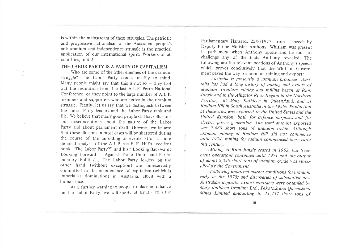is within the mainstream of these struggles. The patriotic and progressive nationalism of the Australian people's anti-uranium and independence struggle is the practical application of our international spirit. Workers of all countries, unite!

### THE LABOR PARTY IS A PARTY OF CAPITALISM

Who are some of the other enemies of the uranium struggle? The Labor Party comes readily to mind. Many people might say that this is not so  $-$  they trot out the resolution from the last A.L.P. Perth National Conference, or they point to the large number of A.L.P. members and supporters who are active in the uranium struggle. Firstly, let us say that we distinguish between the Labor Party leaders and the Labor Party rank and file. We believe that many good people still have illusions and misconceptions about the nature of the Labor Party and about parliament itself. However we believe that these illusions in most cases will be shattered during the course of the unfolding of events. (For a more detailed analysis of the A.L.P. see E. F. Hill's excellent book "The Labor Party?" and his "Looking Backward: Looking Forward - Against Trade Union and Parliamentary Politics".) The Labor Party leaders on the other hand (without exception) are unreservedly committed to the maintenance of capitalism (which is imperialist domination) in Australia, albeit with a human face.

As a further warning to people to place no reliance on the Labor Party, we will quote at length from the

Parliamentary Hansard, 25/8/1977, from a speech by Deputy Prime Minister Anthony. Whitlam was present in parliament when Anthony spoke and he did not challenge any of the facts Anthony revealed. The following are the relevant portions of Anthony's speech which proves conclusively that the Whitlam Government paved the way for uranium mining and export:

Australia is presently a uranium producer. Australia has had a long history of mining and export of uranium. Uranium mining and milling began at Rum Jungle and in the Alligator River Region in the Northern Territory, at Mary Kathleen in Queensland, and at Radium Hill in South Australia in the 1950s. Production at these sites was exported to the United States and the United Kingdom both for defence purposes and for electric power generation. The total amount exported was 7,680 short tons of uranium oxide. Although uranium mining at Radium Hill did not commence until 1954, mining for radium commenced there early this century.

Mining at Rum Jungle ceased in 1963, but treatment operations continued until 1971 and the output of about 2,250 short tons of uranium oxide was stockpiled by the Government.

Following improved market conditions for uranium early in the 1970s and discoveries of substantial new Australian deposits, export contracts were obtained by Mary Kathleen Uranium Ltd., Peko/EZ and Queensland Mines Limited amounting to 11,757 short tons of

 $\eta$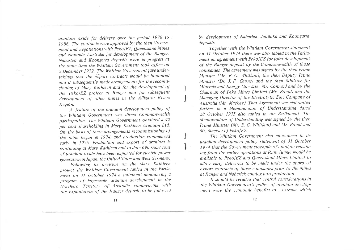uranium oxide for delivery over the period 1976 to 1986. The contracts were approved by the then Government and negotiations with Peko/EZ, Oueensland Mines and Noranda Australia for development of the Ranger, Nabarlek and Koongarra deposits were in progress at the same time the Whitlam Government took office on 2 December 1972. The Whitlam Government gave undertakings that the export contracts would be honoured and it subsequently made arrangements for the recomissioning of Mary Kathleen and for the development of the Peko/EZ project at Ranger and for subsequent development of other mines in the Alligator Rivers Region.

A feature of the uranium development policy of the Whitlam Government was direct Commonwealth participation. The Whitlam Government obtained a 42 per cent shareholding in Mary Kathleen Uranium Ltd. On the basis of these arrangements recommissioning of the mine began in 1974, and production commenced early in 1976. Production and export of uranium is continuing at Mary Kathleen and to date 690 short tons of uranium oxide have been exported for electric power generation in Japan, the United States and West Germany.

Following its decision on the Mary Kathleen project the Whitlam Government tabled in the Parliament on 31 October 1974 a statement announcing a program of large-scale uranium development in the Northern Territory of Australia commencing with the exploitation of the Ranger deposit to be followed by development of Nabarlek, Jabiluka and Koongarra deposits.

Together with the Whitlam Government statement on 31 October 1974 there was also tabled in the Parliament an agreement with Peko/EZ for joint development of the Ranger deposit by the Commonwealth of those companies. The agreement was signed by the then Prime Minister (Mr. E. G. Whitlam), the then Deputy Prime Minister (Dr. J. F. Cairns) and the then Minister for Minerals and Energy (the late Mr. Connor) and by the Chairman of Peko Mines Limited (Mr. Proud) and the Managing Director of the Electrolytic Zinc Company of Australia (Mr. Mackay). That Agreement was elaborated further in a Memorandum of Understanding dated 28 October 1975 also tabled in the Parliament. The Memorandum of Understanding was signed by the then Prime Minister (Mr. E. G. Whitlam) and Mr. Proud and Mr. Mackay of Peko/EZ.

The Whitlam Government also announced in its uranium development policy statement of 31 October 1974 that the Government stockpile of uranium remaining from the earlier operations at Rum Jungle would be available to Peko/EZ and Queensland Mines Limited to allow early deliveries to be made under the approved export contracts of those companies prior to the mines at Ranger and Nabarlek coming into production.

It should be recalled that central considerations in the Whitlam Government's policy of uranium development were the economic benefits to Australia which

 $\mathbf{H}$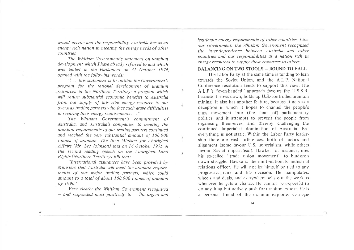would accrue and the responsibility Australia has as an energy rich nation in meeting the energy needs of other countries.

The Whitlam Government's statement on uranium development which I have already referred to and which was tabled in the Parliament on 31 October 1974 opened with the following words:

"... this statement is to outline the Government's program for the rational development of uranium resources in the Northern Territory; a program which will return substantial economic benefits to Australia from our supply of this vital energy resource to our overseas trading partners who face such grave difficulties in securing their energy requirements..."

۲

16

The Whitlam Government's commitment of Australia, and Australia's companies, to meeting the uranium requirements of our trading partners continued and reached the very substantial amount of 100,000 tonnes of uranium. The then Minister for Aboriginal Affairs (Mr. Les Johnson) said on 16 October 1975 in the second reading speech on the Aboriginal Land Rights (Northern Territory) Bill that:

"International assurances have been provided by Ministers that Australia will meet the uranium requirements of our major trading partners, which could amount to a total of about 100,000 tonnes of uranium  $bv$  1990."

Very clearly the Whitlam Government recognised - and responded most positively to - the urgent and legitimate energy requirements of other countries. Like our Government, the Whitlam Government recognised the inter-dependence between Australia and other countries and our responsibilities as a nation rich in energy resources to supply these resources to others.

## **BALANCING ON TWO STOOLS - BOUND TO FALL**

The Labor Party at the same time is tending to lean towards the Soviet Union, and the A.L.P. National Conference resolution tends to support this view. The A.L.P.'s "even-handed" approach favours the U.S.S.R. because it slows down, holds up U.S.-controlled uranium mining. It also has another feature, because it acts as a deception in which it hopes to channel the people's mass movement into (the sham of) parliamentary politics, and it attempts to prevent the people from organising themselves, and thereby challenging the continued imperialist domination of Australia. But everything is not static. Within the Labor Party leadership there are vast differences, both of tactics and alignment (some favour U.S. imperialism, while others favour Soviet imperialism). Hawke, for instance, uses his so-called "trade union movement" to bludgeon down struggle. Hawke is the multi-nationals' industrial relations officer. He will not let himself be tied to any progressive rank and file decision. He manipulates, wheels and deals, and everywhere sells out the workers whenever he gets a chance. He cannot be expected to do anything but actively push for uranium export. He is a personal friend of the uranium exploiter Carnegie

 $14$ 

 $\frac{1}{2}$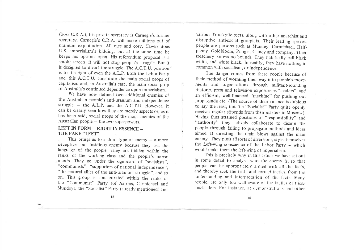(boss C.R.A.), his private secretary is Carnegie's former secretary. Carnegie's C.R.A. will make millions out of uranium exploitation. All nice and cosy. Hawke does U.S. imperialism's bidding, but at the same time he keeps his options open. His referendum proposal is <sup>a</sup> smoke-screen; it will not stop people's struggle. But it is designed to divert the struggle. The A.C.T.U. position is to the right of even the A.L.P. Both the Labor party and this A.C.T.U. constitute the main social props of capitalism and, in Australia's case, the main social prop of Australia's continued dependence upon imperialism.

 $\overleftarrow{\bullet}$ 

Ŵ,

We have now defined two additional enemies of the Australian people's anti-uranium and independence struggle - the A.L.P. and the A.C.T.U. However, it can be clearly seen how they are merely aspects or, as it has been said, social props of the majn enemies of the Australian people  $-$  the two superpowers.

## LEFT IN FORM - RIGHT IN ESSENCE -THE FAKE "LEFT"

This brings us to a third type of enemy  $-$  a more deceptive and insidious enemy because they use the language of the people. They are hidden within the ranks of the working class and the people's movements. They go under the signboard of "socialists", "communists", "supporters of national independence", "the natural allies of the anti-uranium struggle", and so on. This group is concentrated within the ranks of the "Communist" Party (of Aarons, Carmichael and Mundey), the "Socialist" Party (already mentioned) and

various Trotskyite sects, along with other anarchist and disruptive anti-social grouplets. Their leading spokespeople are persons such as Mundey, Carmichael, Half\_ penny, Goldbloom, Pringle, Clancy and company. Their treachery knows no bounds. They habitually call black white, and white black. In reality, they have nothing in common with socialism, or independence.

The danger comes from these people because of their method of worming their way into people's movements and organisations through militant-sounding rhetoric, press and television exposure as "leaders", and an efficient, well-financed "machine" for pushing out propaganda etc. (The source of their finance is dubious to say the least, but the "Socialist" Party quite openly receives regular stipends from their masters in Moscow). Having thus attained positions of "responsibility" and "authority" they actively collaborate to disarm the people through failing to propagate methods and ideas aimed at directing the main blows against the main enemy. They push all sorts of diversions, style themselves the Left-wing conscience of the Labor Party  $-$  which would make them the left-wing of imperialism.

This is precisely why in this article we have set out in some detail to analyse who the enemy is, so that people can be appropriately armed with all the facts. and thereby seek the truth and correct tactics, from the understanding and interpretation of the facts. Many people, are only too well aware of the tactics of these mis-leaders. For instance, at demonstrations and other

l5

l6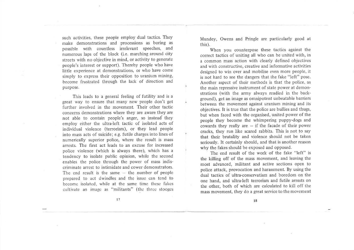such activities, these people employ dual tactics. They make demonstrations and processions as boring as possible with countless irrelevant speeches, and numerous laps of the block (i.e. marching around city streets with no objective in mind, or activity to generate people's interest or support). Thereby people who have little experience at demonstrations, or who have come simply to express their opposition to uranium mining, become frustrated through the lack of direction and purpose.

This leads to a general feeling of futility and is <sup>a</sup> great way to ensure that many new people don't get further involved in the movement. Their other tactic concerns demonstrations where they are awate they are not able to contain people's anger, so instead they employ either the ultra-left tactic of isolated acts of individual violence (terrorism), or they lead people into mass acts of suicide; e.g. futile charges into lines of numerically superior police, where the result is mass arrests. The first act leads to an excuse for increased police violence (which is always there), which has <sup>a</sup> tendency to isolate public opinion, while the second enables the police through the power of mass indiscriminate arrest to intimidate and cower demonstrators. The end result is the same  $-$  the number of people prepared to act dwindles and the issue can tend to become isolated, while at the same time these fakes cultivate an image as "militants" (the three stooges Mundey, Owens and Pringle are particularly good at this).

When you counterpose these tactics against the correct tactics of uniting all who can be united with, in a common mass action with clearly defined objectives and with constructive, creative and informative activities designed to win over and mobilise even more people, it is not hard to see the dangers that the fake "left" pose. Another aspect of their methods is that the police, as the main repressive instrument of state power at demonstrations (with the army always readied in the background), get an image as omnipotent unbeatable barriers between the movement against uranium mining and its objectives. It is true that the police are bullies and thugs, but when faced with the organised, united power of the people they become the whimpering puppy-dogs and cowards they really are  $-$  if the facade of their power cracks, they run like scared rabbits. This is not to say that their brutality and violence should not be taken seriously. It certainly should, and that is another reason why the fakes should be exposed and opposed.

The end result of the work of the fake "left" is the killing off of the mass movement, and leaving the most advanced, militant and active sections open to police attack, provocation and harassment. By using the dual tactics of ultra-conservatism and boredom on the one hand, and ultra-left terrorism and futile arrests on the other, both of which are calculated to kill off the mass movement, they do a great service to the movement

t7

l8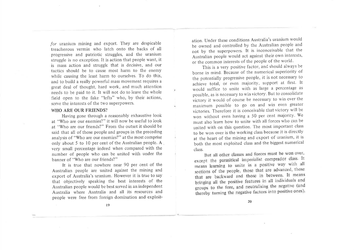for uranium mining and export. They are despicable treacherous vermin who latch onto the backs of all progressive and patriotic struggles, and the uranium struggle is no exception. It is action that people want, it is mass action and struggle that is decisive, and our tactics should be to cause most harm to the enemy while causing the least harm to ourselves. To do this, and to build a really powerful mass movement requires <sup>a</sup> great deal of thought, hard wotk, and much attention needs to be paid to it. It will not do to leave the whole field open to the fake "lefts" who, by their actions, serve the interests of the two superpowers.

#### WHO ARE OUR FRIENDS?

Having gone through a reasonably exhaustive look at "Who are our enemies?" it will now be useful to look at "Who are our friends?" From the outset it should be said that all of those people and groups in the preceding analysis of "Who are our enemies?" at the most comprise only about 5 to l0 per cent of the Australian people. A very small percentage indeed when compared with the number of people who can be united with under the banner of "Who are our friends?"

It is true that nowhere near 90 per cent of the Australian people are united against the mining and export of Australia's uranium. However it is true to say that objectively speaking the best interests of the Australian people would be best served in an independent Australia where Australia and all its resources and people were free from foreign domination and exploitation. Under these conditions Australia's uranium would be owned and controlled by the Australian people and not by the superpowers. It is inconceivable that the Australian people would act against their own interests, or the common interests of the people of the world'

This is a very positive factor, and should always be borne in mind. Because of the numerical superiority of the potentially progressive people, it is not necessary to achieve total, or even majority, support at first. It would suffice to unite with as large a percentage as possible, as is necessary to win victory. But to consolidate victory it would of course be necessary to win over the maximum possible to go on and win even greater victories. Therefore it is conceivable that victory will be won without even having a 50 per cent majority. We must also learn how to unite with all forces who can be united with on this question. The most important class to be won over is the working class because it is directly at the heart of the mining and export of uranium, it is both the most exploited class and the biggest numerical class.

But all other classes and forces must be won over, except the parasitical imperialist comprador class. It means learning to unite in a positive way with all sections of the people, those that are advanced, those that are backward and those in between. It means bringing all the positive features in all individuals and groups to the fore, and neutralising the negative (and thereby turning the negative factors into positive ones).